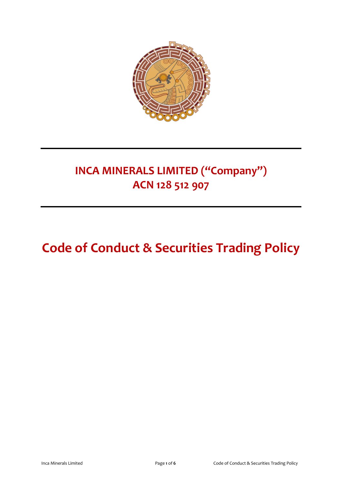

# **INCA MINERALS LIMITED ("Company") ACN 128 512 907**

# **Code of Conduct & Securities Trading Policy**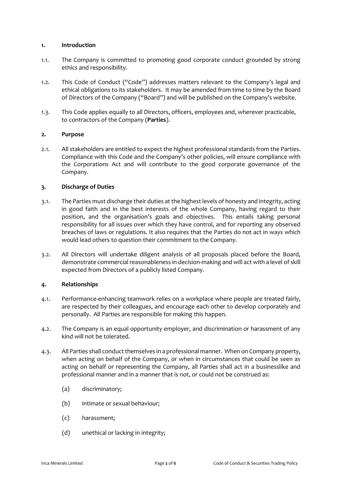#### **1. Introduction**

- 1.1. The Company is committed to promoting good corporate conduct grounded by strong ethics and responsibility.
- 1.2. This Code of Conduct ("Code") addresses matters relevant to the Company's legal and ethical obligations to its stakeholders. It may be amended from time to time by the Board of Directors of the Company ("Board") and will be published on the Company's website.
- 1.3. This Code applies equally to all Directors, officers, employees and, wherever practicable, to contractors of the Company (**Parties**).

# **2. Purpose**

2.1. All stakeholders are entitled to expect the highest professional standards from the Parties. Compliance with this Code and the Company's other policies, will ensure compliance with the Corporations Act and will contribute to the good corporate governance of the Company.

## **3. Discharge of Duties**

- 3.1. The Parties must discharge their duties at the highest levels of honesty and integrity, acting in good faith and in the best interests of the whole Company, having regard to their position, and the organisation's goals and objectives. This entails taking personal responsibility for all issues over which they have control, and for reporting any observed breaches of laws or regulations. It also requires that the Parties do not act in ways which would lead others to question their commitment to the Company.
- 3.2. All Directors will undertake diligent analysis of all proposals placed before the Board, demonstrate commercial reasonableness in decision-making and will act with a level of skill expected from Directors of a publicly listed Company.

# **4. Relationships**

- 4.1. Performance-enhancing teamwork relies on a workplace where people are treated fairly, are respected by their colleagues, and encourage each other to develop corporately and personally. All Parties are responsible for making this happen.
- 4.2. The Company is an equal opportunity employer, and discrimination or harassment of any kind will not be tolerated.
- 4.3. All Parties shall conduct themselves in a professional manner. When on Company property, when acting on behalf of the Company, or when in circumstances that could be seen as acting on behalf or representing the Company, all Parties shall act in a businesslike and professional manner and in a manner that is not, or could not be construed as:
	- (a) discriminatory;
	- (b) intimate or sexual behaviour;
	- (c) harassment;
	- (d) unethical or lacking in integrity;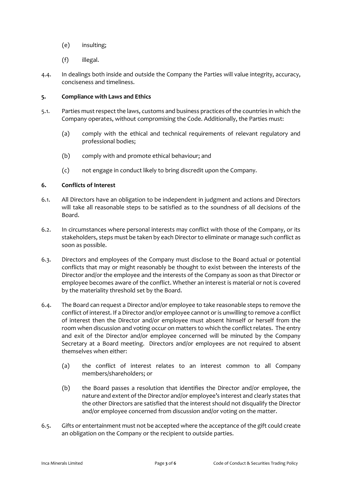- (e) insulting;
- (f) illegal.
- 4.4. In dealings both inside and outside the Company the Parties will value integrity, accuracy, conciseness and timeliness.

#### **5. Compliance with Laws and Ethics**

- 5.1. Parties must respect the laws, customs and business practices of the countries in which the Company operates, without compromising the Code. Additionally, the Parties must:
	- (a) comply with the ethical and technical requirements of relevant regulatory and professional bodies;
	- (b) comply with and promote ethical behaviour; and
	- (c) not engage in conduct likely to bring discredit upon the Company.

## **6. Conflicts of Interest**

- 6.1. All Directors have an obligation to be independent in judgment and actions and Directors will take all reasonable steps to be satisfied as to the soundness of all decisions of the Board.
- 6.2. In circumstances where personal interests may conflict with those of the Company, or its stakeholders, steps must be taken by each Director to eliminate or manage such conflict as soon as possible.
- 6.3. Directors and employees of the Company must disclose to the Board actual or potential conflicts that may or might reasonably be thought to exist between the interests of the Director and/or the employee and the interests of the Company as soon as that Director or employee becomes aware of the conflict. Whether an interest is material or not is covered by the materiality threshold set by the Board.
- 6.4. The Board can request a Director and/or employee to take reasonable steps to remove the conflict of interest. If a Director and/or employee cannot or is unwilling to remove a conflict of interest then the Director and/or employee must absent himself or herself from the room when discussion and voting occur on matters to which the conflict relates. The entry and exit of the Director and/or employee concerned will be minuted by the Company Secretary at a Board meeting. Directors and/or employees are not required to absent themselves when either:
	- (a) the conflict of interest relates to an interest common to all Company members/shareholders; or
	- (b) the Board passes a resolution that identifies the Director and/or employee, the nature and extent of the Director and/or employee's interest and clearly states that the other Directors are satisfied that the interest should not disqualify the Director and/or employee concerned from discussion and/or voting on the matter.
- 6.5. Gifts or entertainment must not be accepted where the acceptance of the gift could create an obligation on the Company or the recipient to outside parties.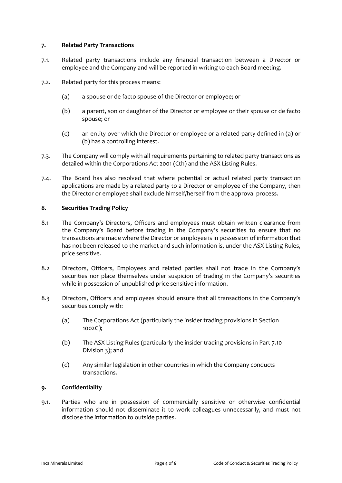#### **7. Related Party Transactions**

- 7.1. Related party transactions include any financial transaction between a Director or employee and the Company and will be reported in writing to each Board meeting.
- 7.2. Related party for this process means:
	- (a) a spouse or de facto spouse of the Director or employee; or
	- (b) a parent, son or daughter of the Director or employee or their spouse or de facto spouse; or
	- (c) an entity over which the Director or employee or a related party defined in (a) or (b) has a controlling interest.
- 7.3. The Company will comply with all requirements pertaining to related party transactions as detailed within the Corporations Act 2001 (Cth) and the ASX Listing Rules.
- 7.4. The Board has also resolved that where potential or actual related party transaction applications are made by a related party to a Director or employee of the Company, then the Director or employee shall exclude himself/herself from the approval process.

## **8. Securities Trading Policy**

- 8.1 The Company's Directors, Officers and employees must obtain written clearance from the Company's Board before trading in the Company's securities to ensure that no transactions are made where the Director or employee is in possession of information that has not been released to the market and such information is, under the ASX Listing Rules, price sensitive.
- 8.2 Directors, Officers, Employees and related parties shall not trade in the Company's securities nor place themselves under suspicion of trading in the Company's securities while in possession of unpublished price sensitive information.
- 8.3 Directors, Officers and employees should ensure that all transactions in the Company's securities comply with:
	- (a) The Corporations Act (particularly the insider trading provisions in Section 1002G);
	- (b) The ASX Listing Rules (particularly the insider trading provisions in Part 7.10 Division 3); and
	- (c) Any similar legislation in other countries in which the Company conducts transactions.

# **9. Confidentiality**

9.1. Parties who are in possession of commercially sensitive or otherwise confidential information should not disseminate it to work colleagues unnecessarily, and must not disclose the information to outside parties.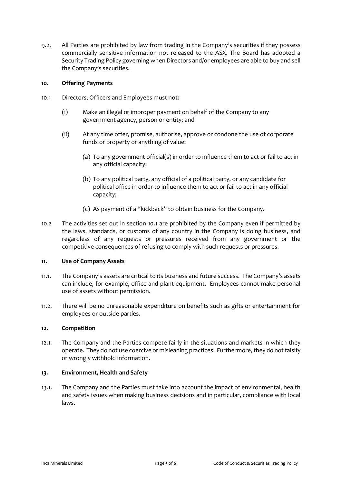9.2. All Parties are prohibited by law from trading in the Company's securities if they possess commercially sensitive information not released to the ASX. The Board has adopted a Security Trading Policy governing when Directors and/or employees are able to buy and sell the Company's securities.

#### **10. Offering Payments**

- 10.1 Directors, Officers and Employees must not:
	- (i) Make an illegal or improper payment on behalf of the Company to any government agency, person or entity; and
	- (ii) At any time offer, promise, authorise, approve or condone the use of corporate funds or property or anything of value:
		- (a) To any government official(s) in order to influence them to act or fail to act in any official capacity;
		- (b) To any political party, any official of a political party, or any candidate for political office in order to influence them to act or fail to act in any official capacity;
		- (c) As payment of a "kickback" to obtain business for the Company.
- 10.2 The activities set out in section 10.1 are prohibited by the Company even if permitted by the laws, standards, or customs of any country in the Company is doing business, and regardless of any requests or pressures received from any government or the competitive consequences of refusing to comply with such requests or pressures.

#### **11. Use of Company Assets**

- 11.1. The Company's assets are critical to its business and future success. The Company's assets can include, for example, office and plant equipment. Employees cannot make personal use of assets without permission.
- 11.2. There will be no unreasonable expenditure on benefits such as gifts or entertainment for employees or outside parties.

#### **12. Competition**

12.1. The Company and the Parties compete fairly in the situations and markets in which they operate. They do not use coercive or misleading practices. Furthermore, they do not falsify or wrongly withhold information.

#### **13. Environment, Health and Safety**

13.1. The Company and the Parties must take into account the impact of environmental, health and safety issues when making business decisions and in particular, compliance with local laws.